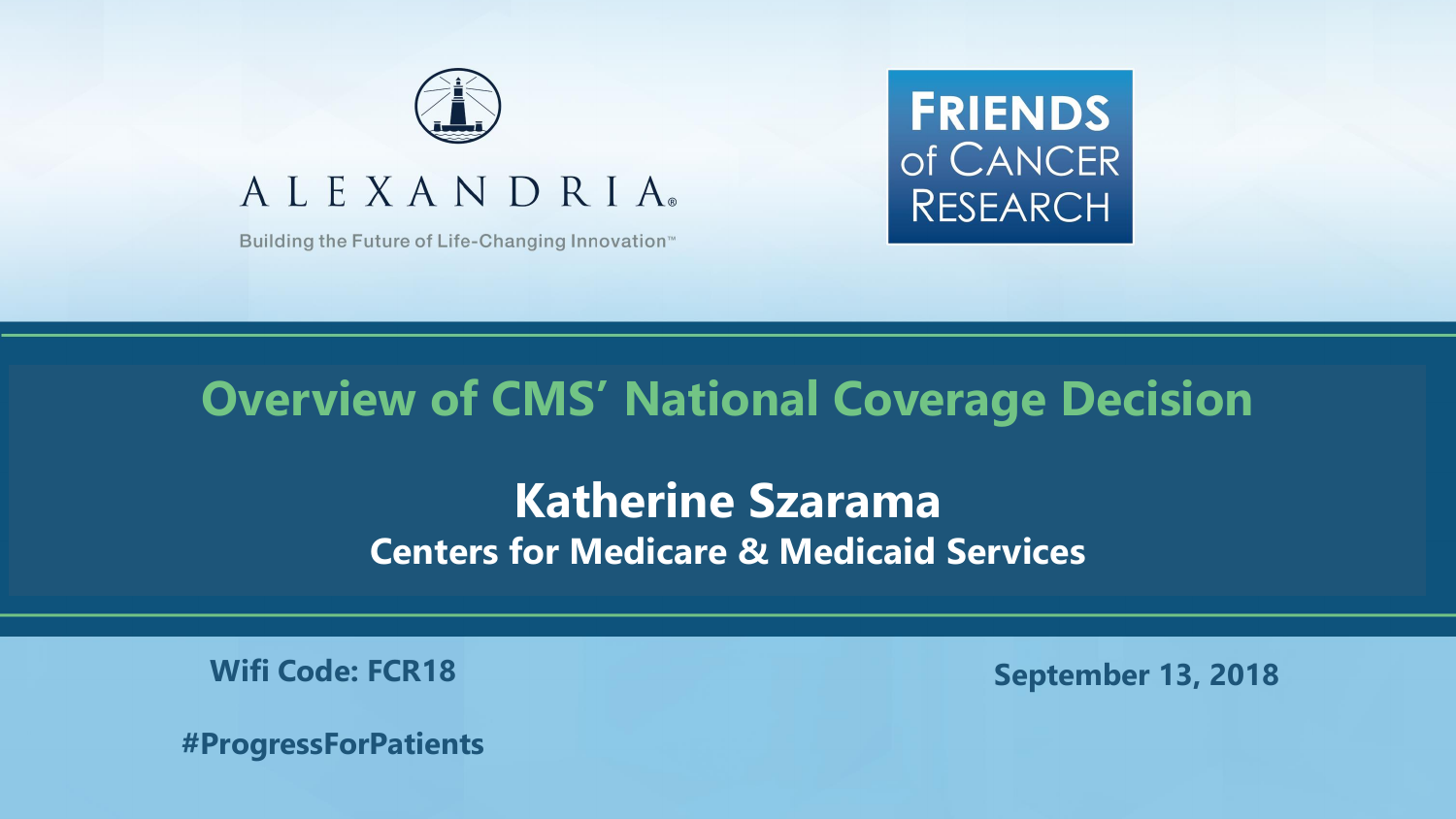

#### ALEXANDRIA

Building the Future of Life-Changing Innovation<sup>™</sup>



#### **Overview of CMS' National Coverage Decision**

**Katherine Szarama Centers for Medicare & Medicaid Services**

**Wifi Code: FCR18** 

**September 13, 2018**

**#ProgressForPatients**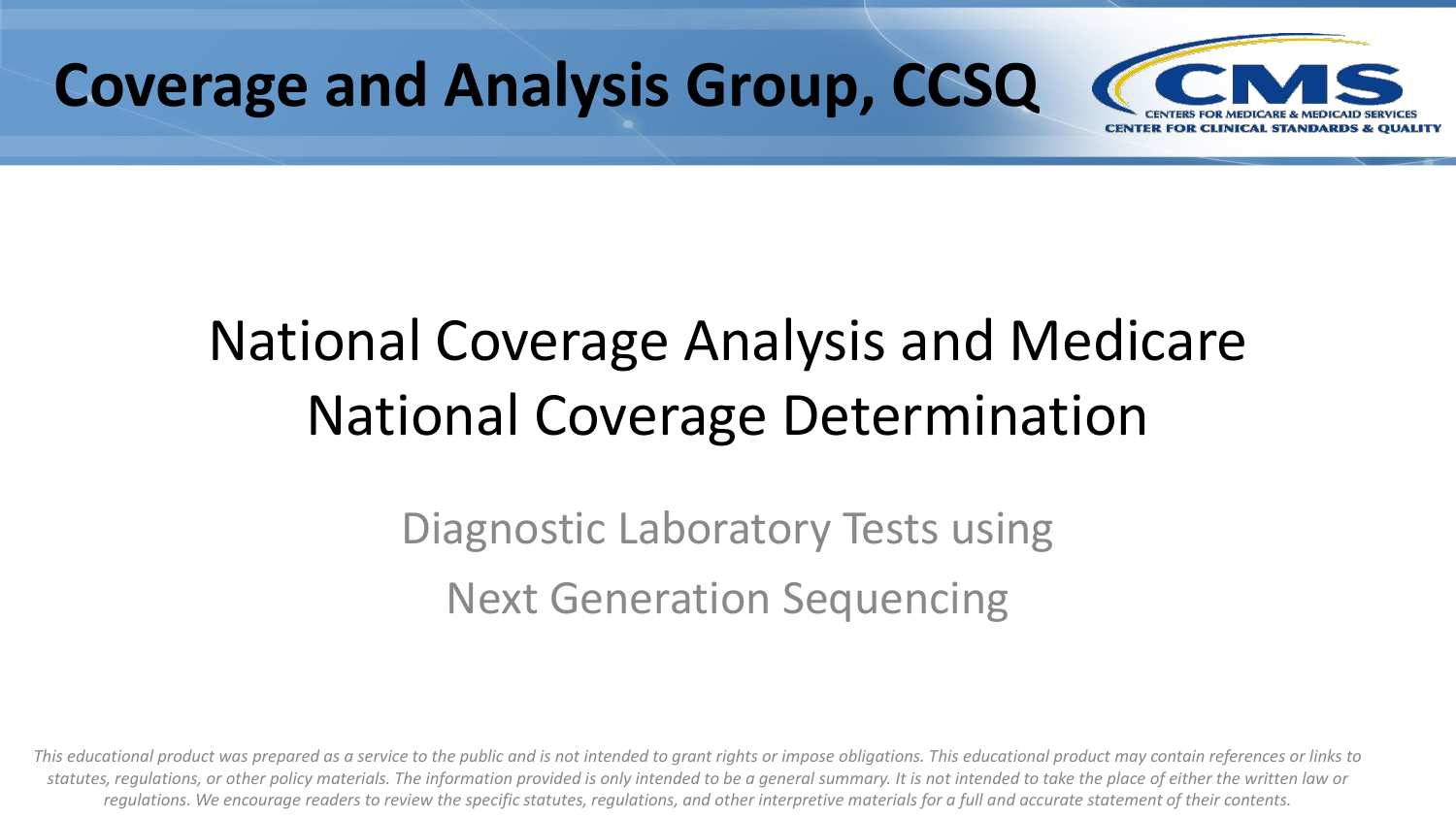

# National Coverage Analysis and Medicare National Coverage Determination

### Diagnostic Laboratory Tests using Next Generation Sequencing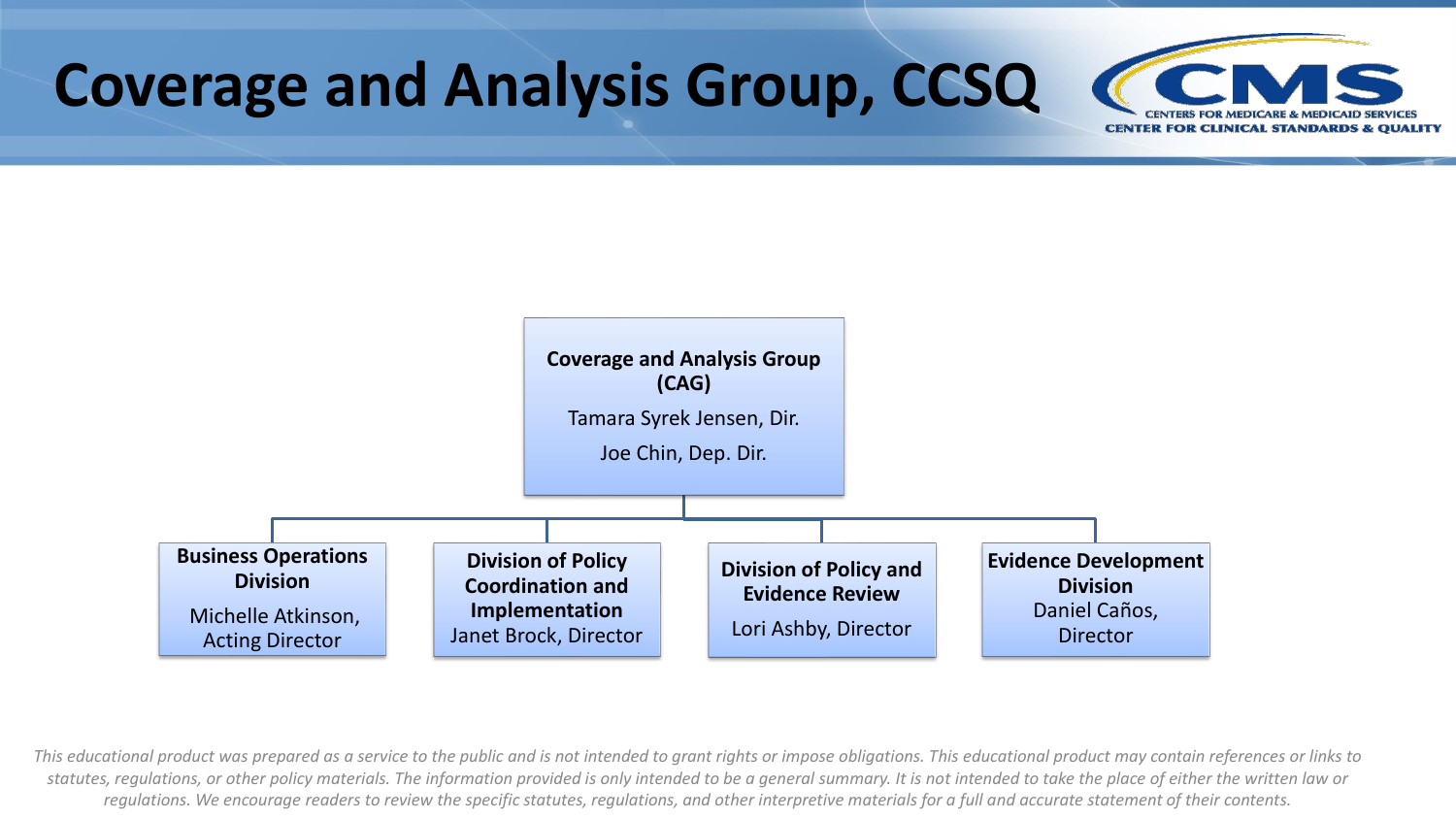

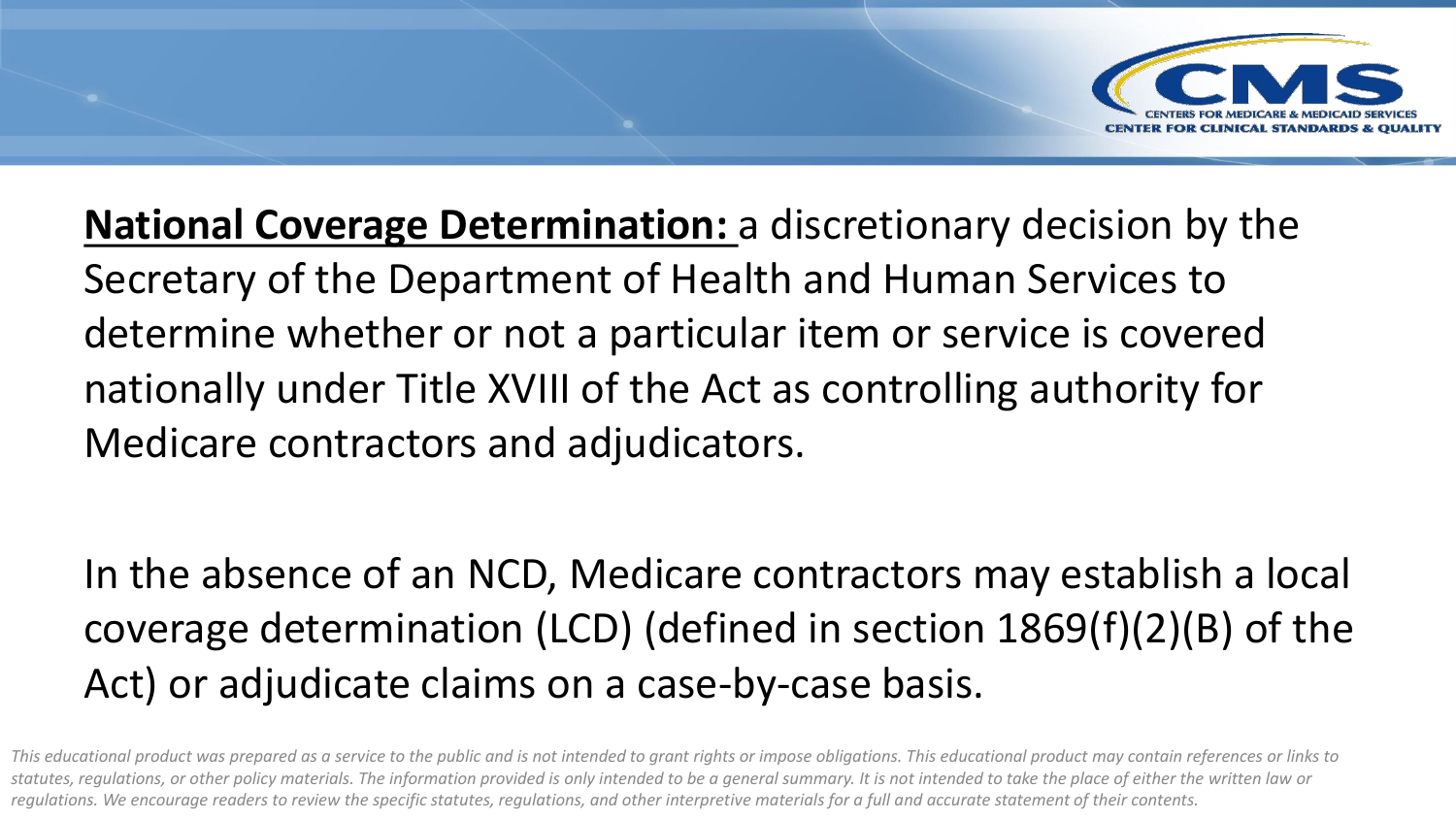

**National Coverage Determination:** a discretionary decision by the Secretary of the Department of Health and Human Services to determine whether or not a particular item or service is covered nationally under Title XVIII of the Act as controlling authority for Medicare contractors and adjudicators.

In the absence of an NCD, Medicare contractors may establish a local coverage determination (LCD) (defined in section 1869(f)(2)(B) of the Act) or adjudicate claims on a case-by-case basis.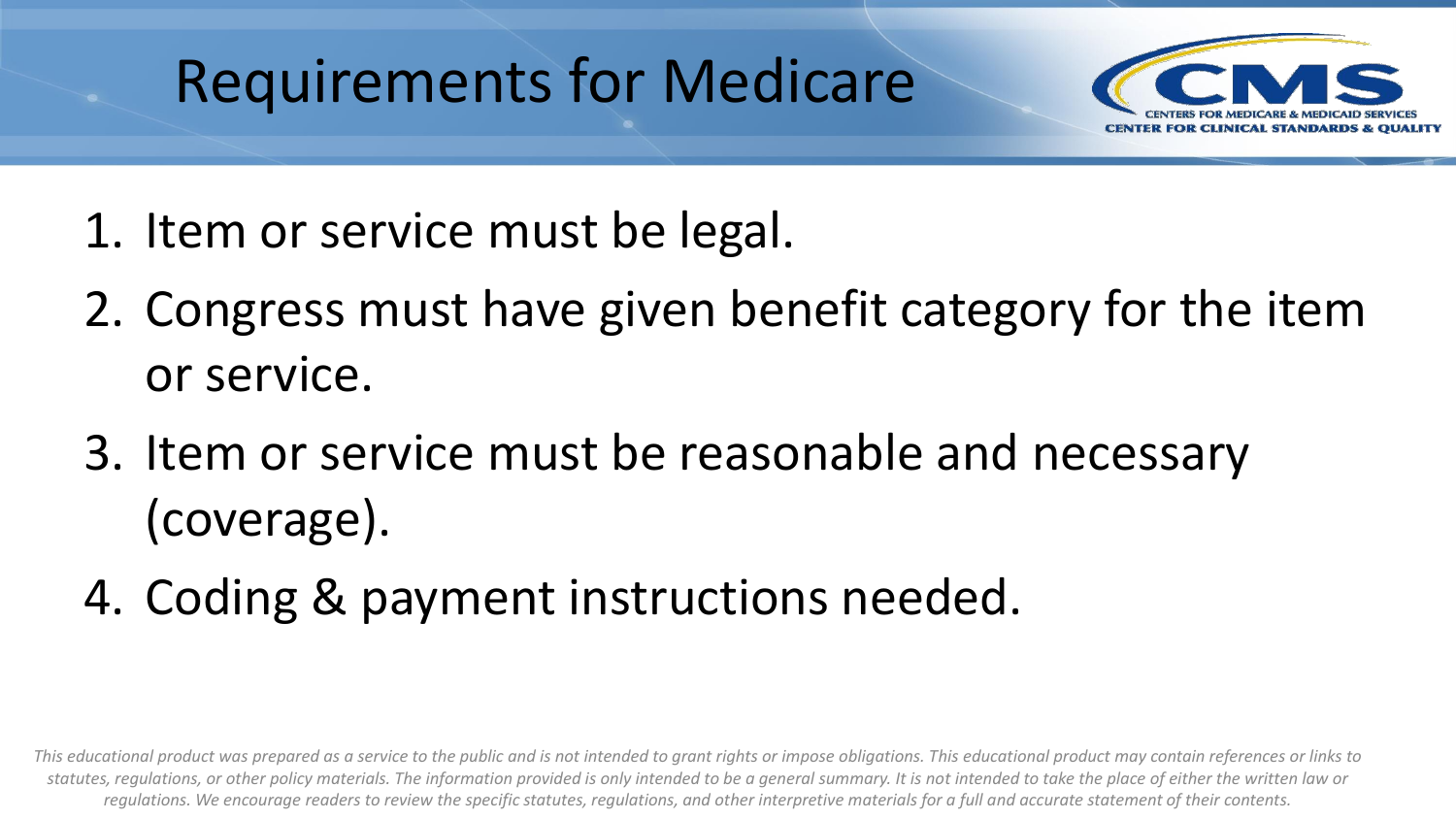# Requirements for Medicare



- 1. Item or service must be legal.
- 2. Congress must have given benefit category for the item or service.
- 3. Item or service must be reasonable and necessary (coverage).
- 4. Coding & payment instructions needed.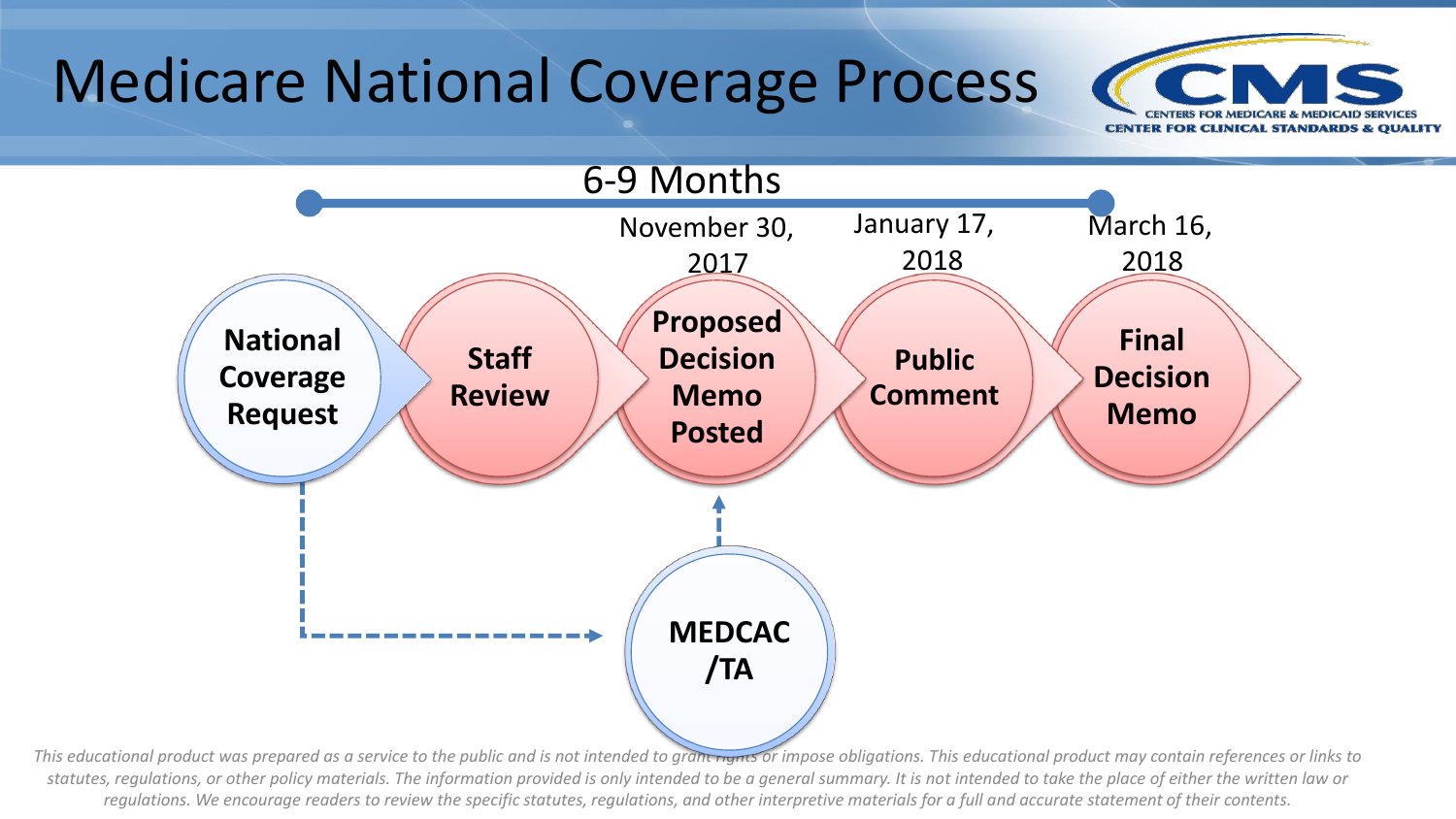## Medicare National Coverage Process



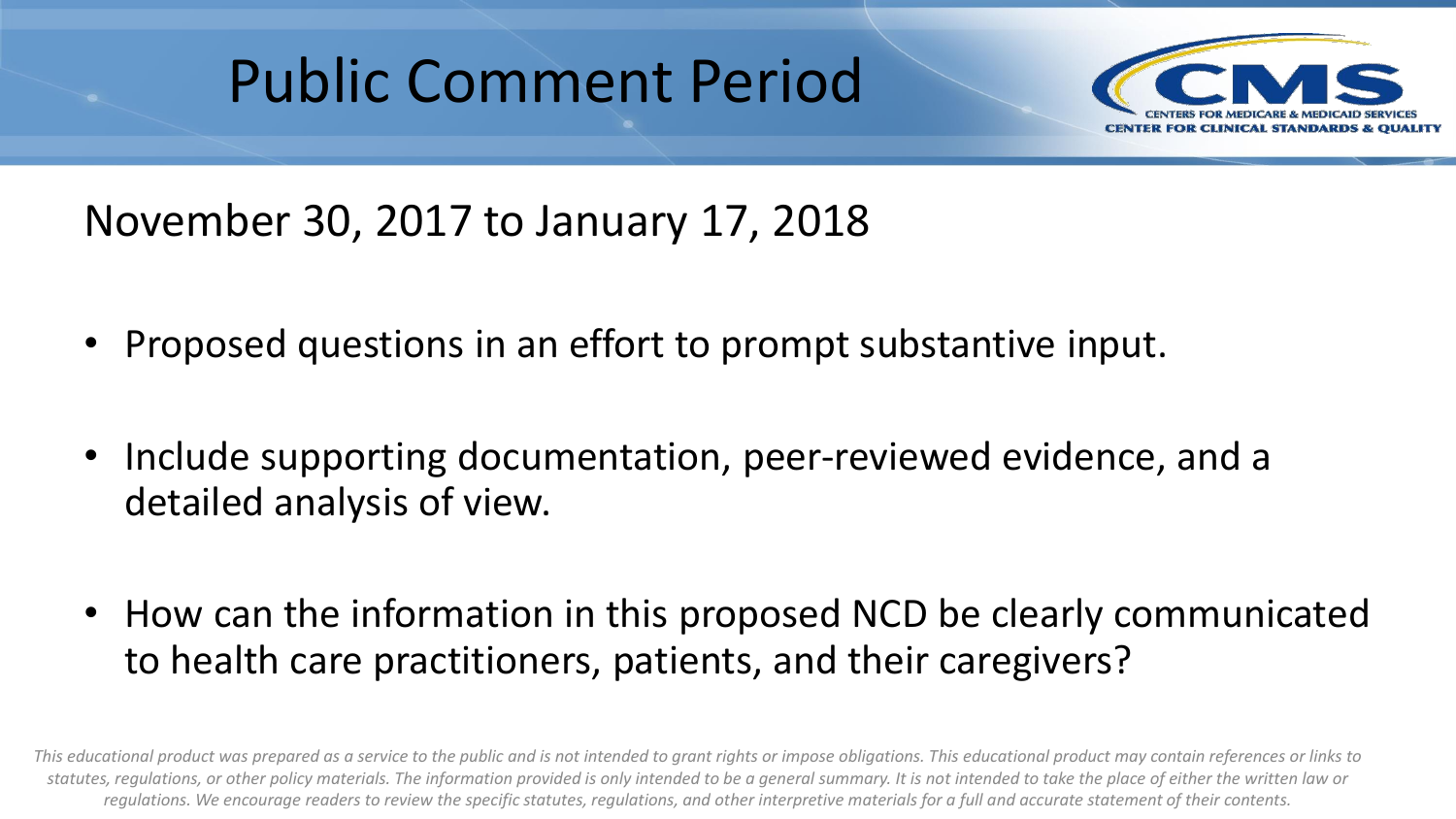## Public Comment Period



November 30, 2017 to January 17, 2018

- Proposed questions in an effort to prompt substantive input.
- Include supporting documentation, peer-reviewed evidence, and a detailed analysis of view.
- How can the information in this proposed NCD be clearly communicated to health care practitioners, patients, and their caregivers?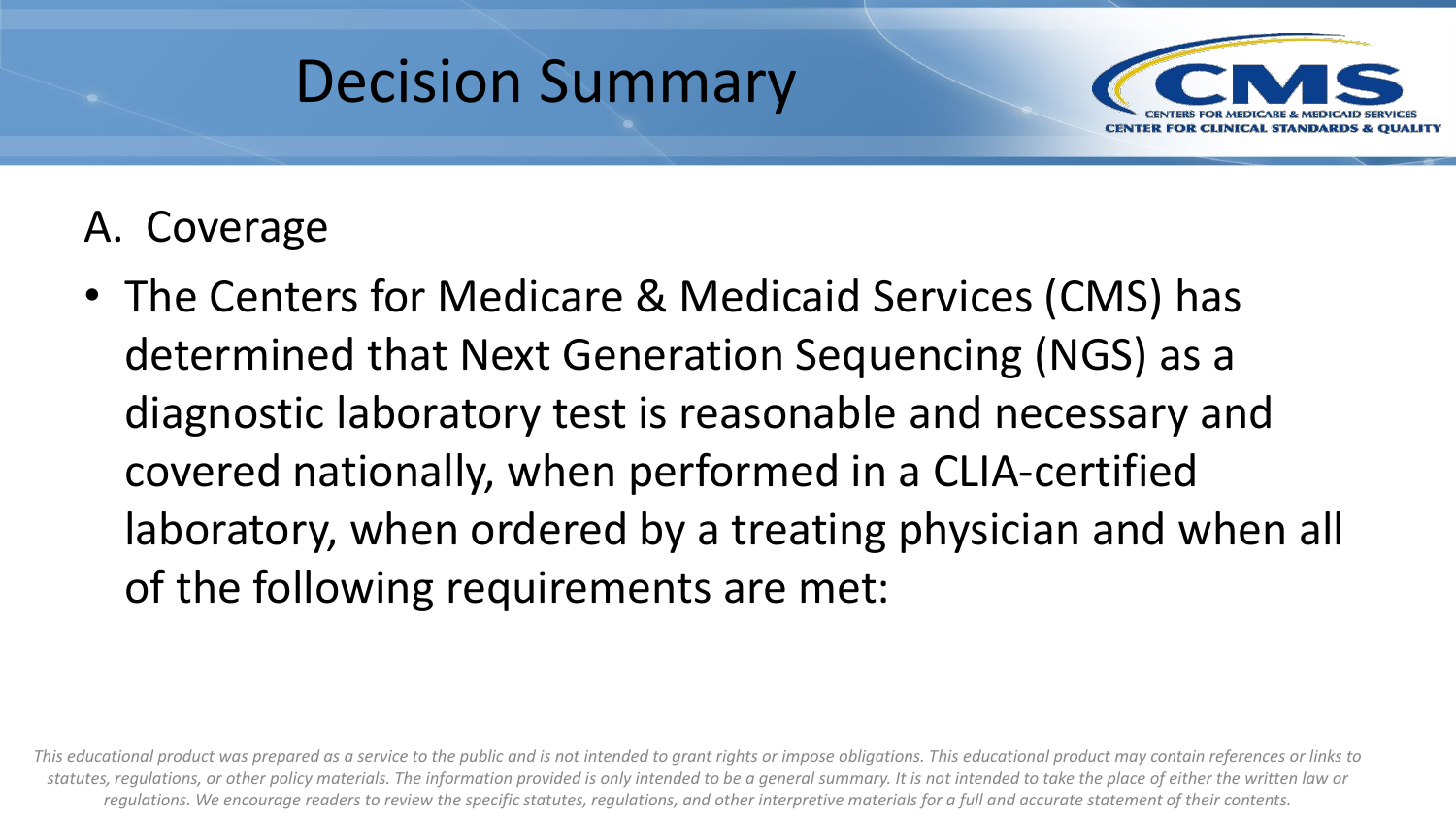



### A. Coverage

• The Centers for Medicare & Medicaid Services (CMS) has determined that Next Generation Sequencing (NGS) as a diagnostic laboratory test is reasonable and necessary and covered nationally, when performed in a CLIA-certified laboratory, when ordered by a treating physician and when all of the following requirements are met: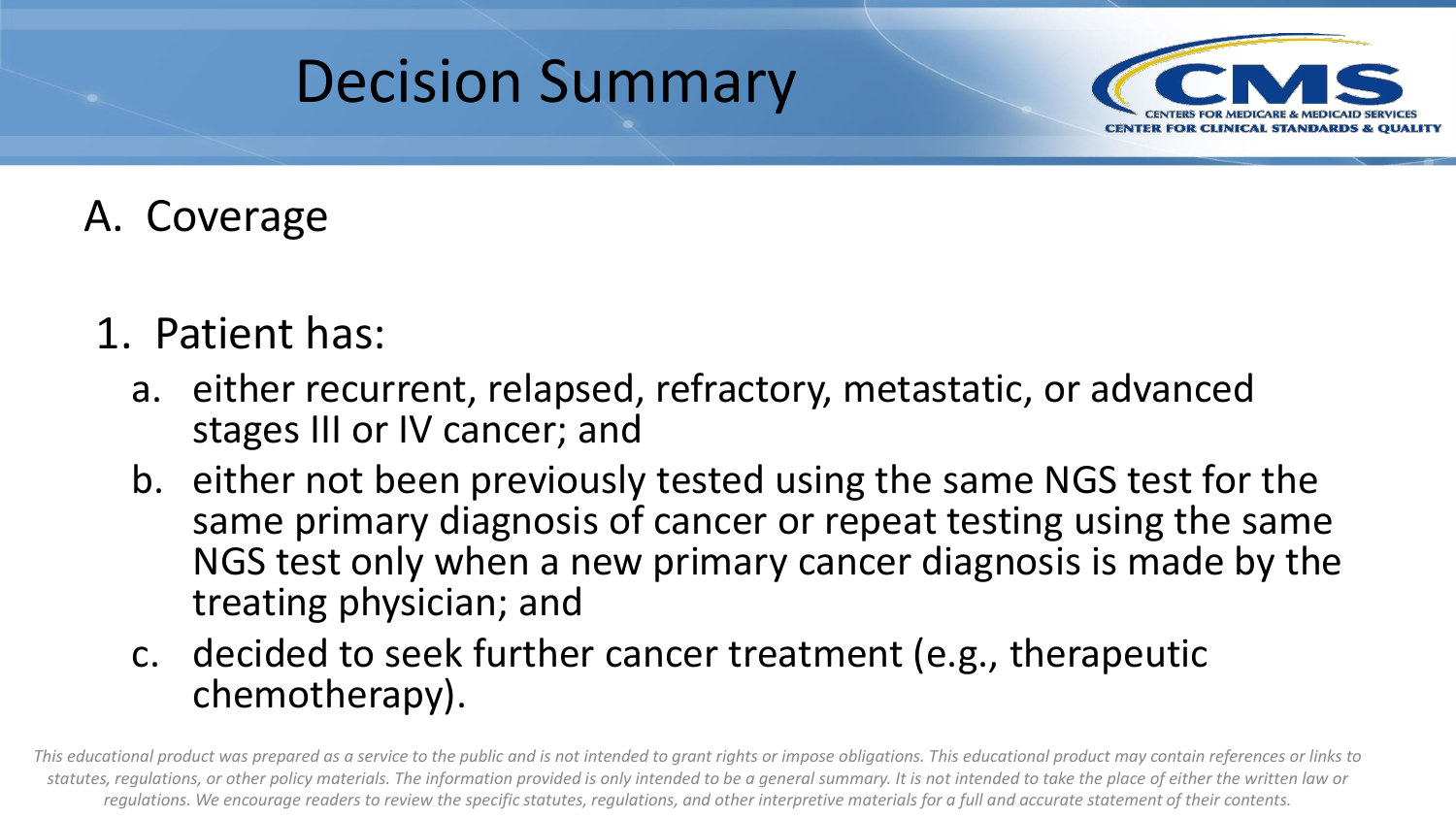



### A. Coverage

- 1. Patient has:
	- a. either recurrent, relapsed, refractory, metastatic, or advanced stages III or IV cancer; and
	- b. either not been previously tested using the same NGS test for the same primary diagnosis of cancer or repeat testing using the same NGS test only when a new primary cancer diagnosis is made by the treating physician; and
	- c. decided to seek further cancer treatment (e.g., therapeutic chemotherapy).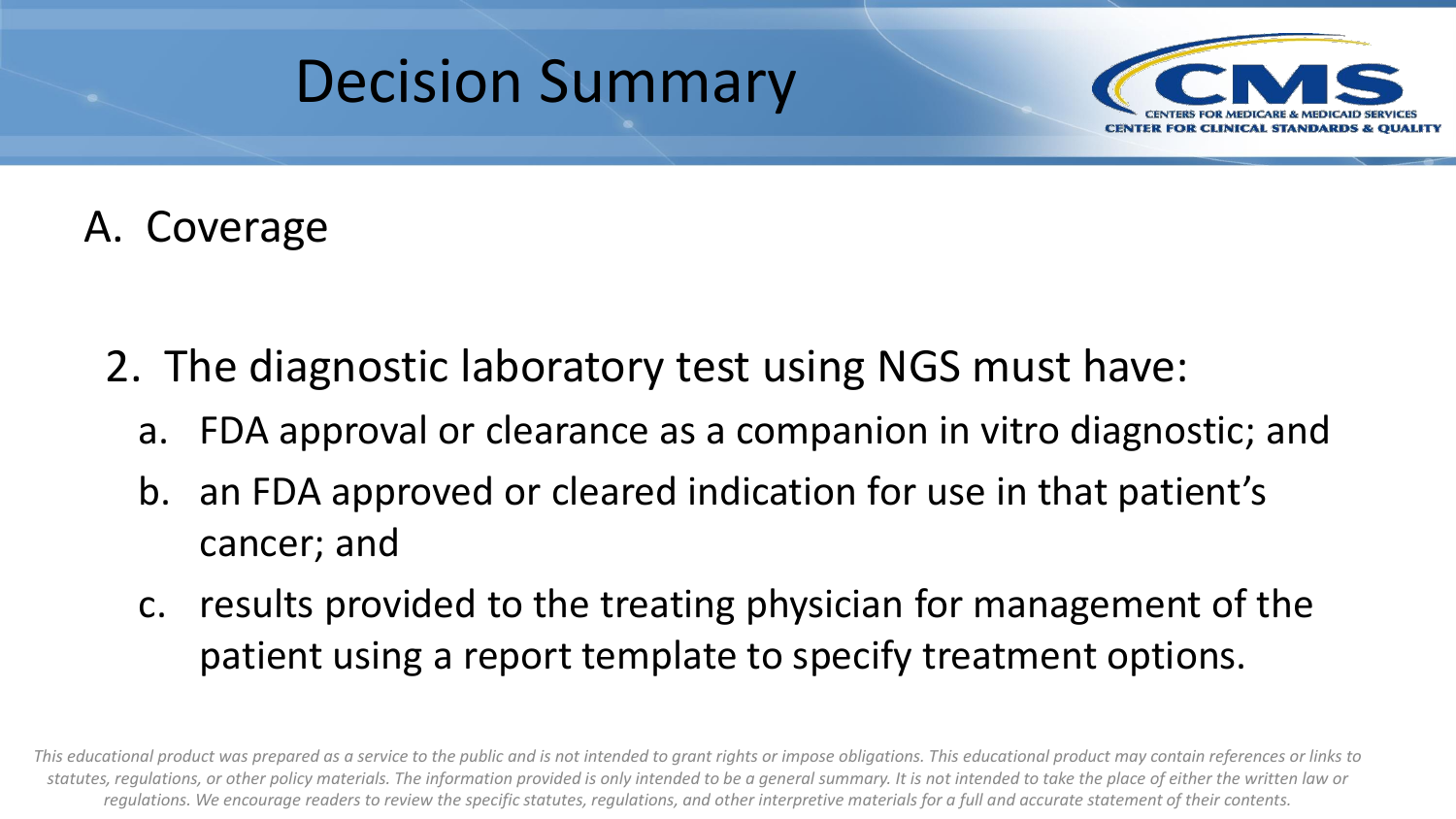



### A. Coverage

- 2. The diagnostic laboratory test using NGS must have:
	- a. FDA approval or clearance as a companion in vitro diagnostic; and
	- b. an FDA approved or cleared indication for use in that patient's cancer; and
	- c. results provided to the treating physician for management of the patient using a report template to specify treatment options.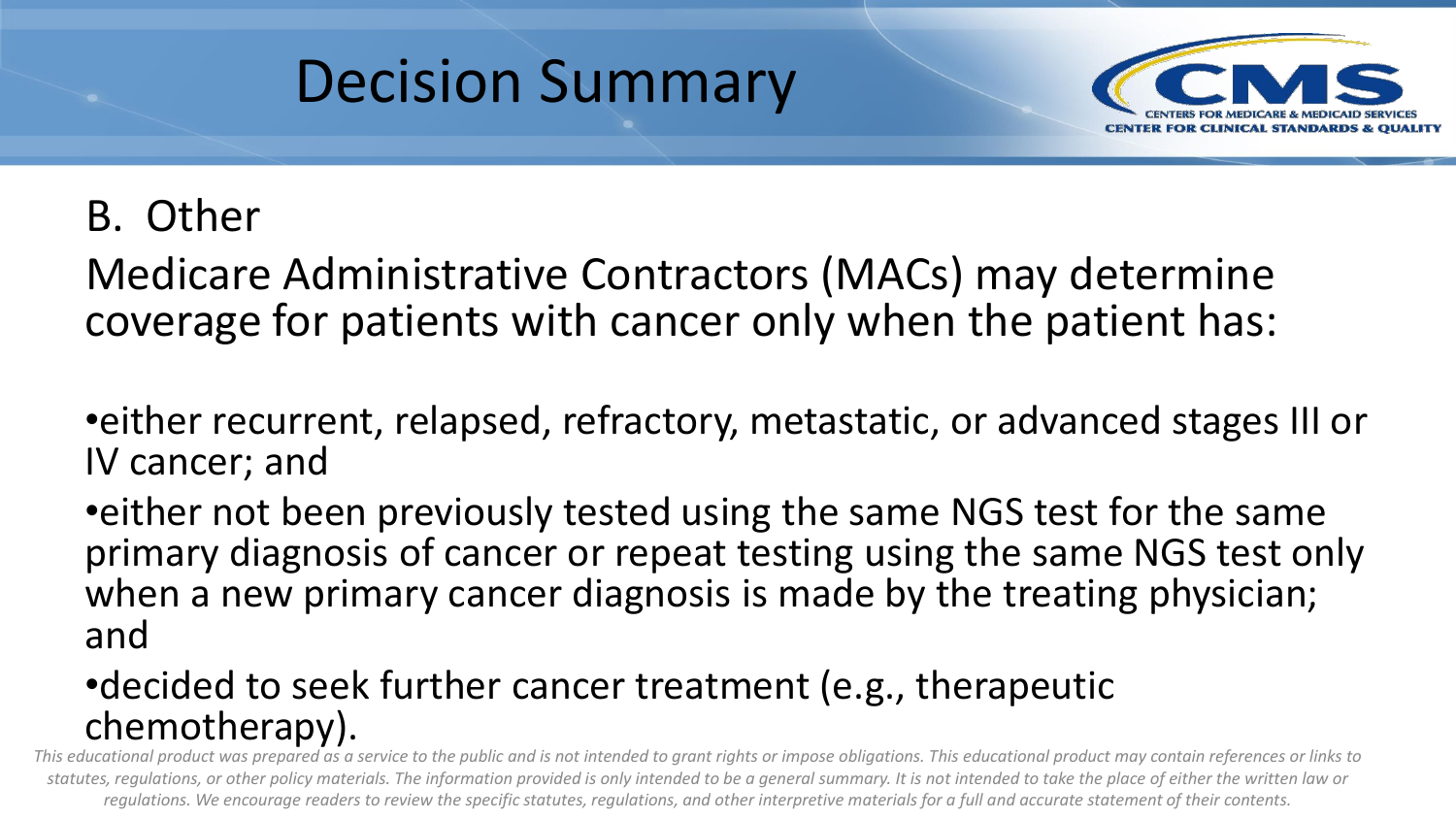



### B. Other

Medicare Administrative Contractors (MACs) may determine coverage for patients with cancer only when the patient has:

•either recurrent, relapsed, refractory, metastatic, or advanced stages III or IV cancer; and

•either not been previously tested using the same NGS test for the same primary diagnosis of cancer or repeat testing using the same NGS test only when a new primary cancer diagnosis is made by the treating physician; and

#### •decided to seek further cancer treatment (e.g., therapeutic chemotherapy).